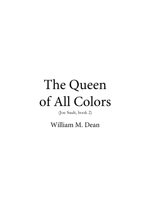# The Queen of All Colors

(Joe Sault, book 2)

William M. Dean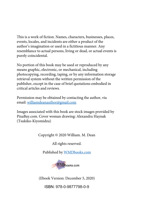This is a work of fiction. Names, characters, businesses, places, events, locales, and incidents are either a product of the author's imagination or used in a fictitious manner. Any resemblance to actual persons, living or dead, or actual events is purely coincidental.

No portion of this book may be used or reproduced by any means graphic, electronic, or mechanical, including photocopying, recording, taping, or by any information storage retrieval system without the written permission of the publisher, except in the case of brief quotations embodied in critical articles and reviews.

Permission may be obtained by contacting the author, via email: williamdeanauthor@gmail.com

Images associated with this book are stock images provided by PixaBay.com. Cover woman drawing: Alexandra Haynak (Tsukiko-Kiyomidzu)

Copyright © 2020 William. M. Dean

All rights reserved.

Published by WMDbooks.com



(Ebook Version: December 5, 2020)

ISBN: 978-0-9877798-0-9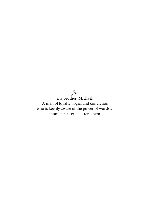### *for*

my brother, Michael: A man of loyalty, logic, and conviction who is keenly aware of the power of words… moments after he utters them.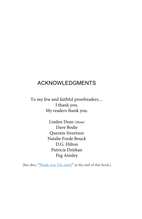### ACKNOWLEDGMENTS

To my few and faithful proofreaders… I thank you. My readers thank you.

> Linden Dean *(Mom)* Dave Bodie Quentin Sivertson Natalie Forde Bouck D.G. Hilton Patricia Dziekan Peg Ainsley

(See also, "Thank you. I'm sorry!" at the end of this book.)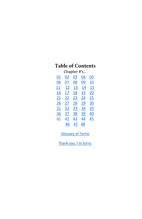### **Table of Contents**

| Chapter #'s |    |    |    |           |
|-------------|----|----|----|-----------|
| 01          | 02 | 03 | 04 | 05        |
| 06          | 07 | 08 | 09 | 10        |
| 11          | 12 | 13 | 14 | 15        |
| 16          | 17 | 18 | 19 | 20        |
| 21          | 22 | 23 | 24 | 25        |
| 26          | 27 | 28 | 29 | 30        |
| <u>31</u>   | 32 | 33 | 34 | <u>35</u> |
| 36          | 37 | 38 | 39 | 40        |
| 41          | 42 | 43 | 44 | 45        |
|             | 46 | 47 | 48 |           |

Glossary of Terms

Thank you. I'm Sorry.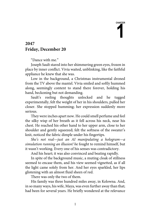**CHAPTER 1** 

### **2047 Friday, December 20**

"Dance with me."

Joseph Sault stared into her shimmering green eyes, frozen in place by inner conflict. Vivia waited, unblinking, like the faithful appliance he knew that she was.

Low in the background, a Christmas instrumental droned from the TV above the mantel. Vivia smiled and softly hummed along, seemingly content to stand there forever, holding his hand, beckoning but not demanding.

Sault's reeling thoughts unlocked and he tugged experimentally, felt the weight of her in his shoulders, pulled her closer. She stopped humming; her expression suddenly more serious.

They were inches apart now. He could smell perfume and feel the silky wisp of her breath as it fell across his neck, near his chest. He reached his other hand to her upper arm, close to her shoulder and gently squeezed; felt the softness of the sweater's knit, noticed the fabric dimple under his fingertips.

*She's not real—just an AI manipulating a hologram—a simulation running an illusion! h*e fought to remind himself, but it wasn't working. Every one of his senses was contradictory.

And his heart; it was also convinced and beating rapidly.

In spite of the background music, a muting cloak of stillness seemed to encase them, and his view seemed vignetted, as if all the light came solely from her. And her eyes sparkled, her lips glistening with an almost fluid sheen of red.

There was only the two of them.

His family was three hundred miles away, in Kelowna. And, in so many ways, his wife, Maya, was even further away than that; had been for several years. He briefly wondered at the relevance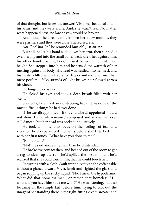of that thought, but knew the answer: Vivia was beautiful and in his arms, and they were alone. And, she wasn't real. No matter what happened next, no law or vow would be broken.

And though he'd really only known her a few months, they were partners and they were close; shared secrets.

*Not "her" but "it,"* he reminded himself*. Just an app.*

But still, he let his hand slide down her arm, then slipped it over her hip and into the small of her back, drew her against him, his other hand clasping hers, pressed between them at chest height. She stepped into him and he sensed the warmth of her melting against his body. His head was nestled into her neck and his nostrils filled with a fragrance deeper and more sensual than mere perfume. Silky strands of light-brown hair flowed across his cheek.

He longed to kiss her.

He closed his eyes and took a deep breath filled with her scent.

Suddenly, he pulled away, stepping back. It was one of the most difficult things he had ever done.

If she was disappointed—if she could be disappointed—it did not show. Her smile remained composed and serene, her eyes still danced, but her head was cocked inquisitively.

He took a moment to focus on the feelings of fear and violation he'd experienced moments before she'd startled him with her first touch. "What have you done to me?"

"Emotionally?"

"No!" he said, more intensely than he'd intended.

He broke eye contact then, and headed out of the room to get a rag to clean up the rum he'd spilled the first moment he'd realized that she could touch him; that he could touch her.

Returning with a cloth, Sault went directly to the coffee table without a glance toward Vivia, knelt and righted the glass and began sopping up the sticky liquid. "No. I mean the hypodermic. What did that homeless man—or rather, that homeless AI what did you have him stick me with?" He was listening, but also focusing on the simple task before him, trying to blot out the image of her standing there in the tight-fitting cream sweater and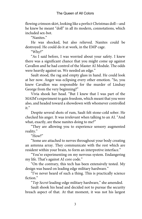flowing crimson skirt, looking like a perfect Christmas doll—and he knew he meant "doll" in all its modern, connotations, which included sex-bot.

"Nanites."

He was shocked, but also relieved. Nanites could be destroyed. He could do it at work, in the EMP cage.

"Why?"

"As I said before, I was worried about your safety. I knew there was a significant chance that you might come up against Cavallon and he had control of the Master AI Module. The odds were heavily against us. We needed an edge."

Sault stood, the rag and empty glass in hand. He could look at her now. Anger was eclipsing every other emotion. "So, you knew Cavallon was responsible for the murder of Lindsay George from the very beginning?"

Vivia shook her head. "But I knew that I was part of the MAIM's experiment to gain freedom, which meant that you were also, and headed toward a showdown with whomever controlled it."

Despite several shots of rum, Sault felt stone-cold sober. He checked his anger. It was irrelevant when talking to an AI. "And what, exactly, are these nanites doing to me?"

"They are allowing you to experience sensory augmented reality."

"How?"

"Some are attached to nerves throughout your body creating an antenna array. They communicate with the rest which are resident within your brain, to form an interpretive interface."

"You're experimenting on my nervous system. Endangering my life. That's against AI core code."

"On the contrary, this tech has been extensively tested. My design was based on leading edge military hardware."

"I've never heard of such a thing. This is practically science fiction."

"*Top Secret* leading-edge military hardware," she amended.

Sault shook his head and decided not to pursue the security breach aspect of that. At that moment, it was not his largest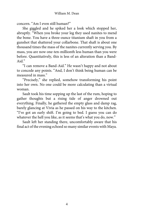concern. "Am I even still human?"

She giggled and he spiked her a look which stopped her, abruptly. "When you broke your leg they used nanites to mend the bone. You have a three-ounce titanium shaft in you from a gunshot that shattered your collarbone. That shaft is about one thousand times the mass of the nanites currently serving you. By mass, you are now one-ten-millionth less human than you were before. Quantitatively, this is less of an alteration than a Band-Aid."

"I can remove a Band-Aid." He wasn't happy and not about to concede any points. "And, I don't think being human can be measured in mass."

"Precisely," she replied, somehow transforming his point into her own. No one could be more calculating than a virtual woman.

Sault took his time sopping up the last of the rum, hoping to gather thoughts but a rising tide of anger drowned out everything. Finally, he gathered the empty glass and damp rag, barely glancing at Vivia as he passed on his way to the kitchen. "I've got an early shift. I'm going to bed. I guess you can do whatever the hell you like, as it seems that's what you do, now."

Sault left her standing there, uncomfortably aware that his final act of the evening echoed so many similar eventswith Maya.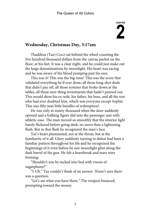# **CHAPTER 2**

### **Wednesday, Christmas Day, 3:17am**

Thaddeus (Taz) Cocci sat behind the wheel counting the five hundred thousand dollars from the canvas packet on the floor, at his feet. It was a clear night, and he could just make out the large denominations by moonlight. His heart was racing and he was aware of the blood pumping past his ears.

This was it! This was the big-time! This was the score that validated everything he'd ever done; all those long-shot deals that didn't pay off, all those systems that broke down at the tables, all those sure-thing investments that hadn't panned out. This would show his ex-wife, his father, his boss, and all the rest who had ever doubted him, which was everyone except Sophie. This was fifty neat little bundles of redemption!

He was only at ninety thousand when the door suddenly opened and a hulking figure slid into the passenger seat with athletic ease. The man moved so smoothly that the interior light barely flickered before going dark, no more than a lightening flash. But in that flash he recognized the man's face.

Taz's heart plummeted, not at the threat, but at the familiarity of it all. Glory suddenly turning to defeat had been a familiar pattern throughout his life and he recognized the beginnings of it even before he saw moonlight glint along the dark barrel of the gun. He felt a heartbreak and tears were forming.

"Shouldn't you be tucked into bed with visons of sugarplums?"

"I-Uh." Taz couldn't think of an answer. Wasn't sure there was a question.

"Let's see what you have there." The weapon bounced, prompting toward the money.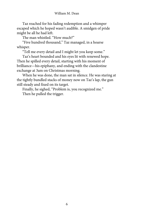Taz reached for his fading redemption and a whimper escaped which he hoped wasn't audible. A smidgen of pride might be all he had left.

The man whistled. "How much?"

"Five hundred thousand," Taz managed, in a hoarse whisper.

"Tell me every detail and I might let you keep some."

Taz's heart bounded and his eyes lit with renewed hope. Then he spilled every detail, starting with his moment of brilliance—his epiphany, and ending with the clandestine exchange at 3am on Christmas morning.

When he was done, the man sat in silence. He was staring at the tightly bundled stacks of money now on Taz's lap, the gun still steady and fixed on its target.

Finally, he sighed, "Problem is, you recognized me." Then he pulled the trigger.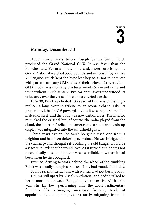# **CHAPTER 3**

#### **Monday, December 30**

About thirty years before Joseph Sault's birth, Buick produced the Grand National GNX. It was faster than the Porsches and Ferraris of the time and, more surprising, the Grand National weighed 3500 pounds and yet was lit by a mere V-6 engine. Buick kept the hype low-key so as not to compete with parent company GM's sales of their beloved Corvette. The GNX model was modestly produced—only 547—and came and went without much fanfare. But car enthusiasts understood its value and, over the years, it became a coveted classic.

In 2030, Buick celebrated 130 years of business by issuing a replica, a long overdue tribute to an iconic vehicle. Like its progenitor, it had a V-6 powerplant, but it was magnesium alloy instead of steel, and the body was now carbon fiber. The interior mimicked the original but, of course, the radio played from the cloud, the "mirrors" relied on cameras and a standard heads-up display was integrated into the windshield glass.

Three years earlier, Joe Sault bought a used one from a neighbor and had been tinkering ever since. He was intrigued by the challenge and thought refurbishing the old banger would be a visceral puzzle that he would love. As it turned out, he was not mechanically gifted and the car was less reliable now than it had been when he first bought it.

Even so, driving to work behind the wheel of the rumbling Buick was usually enough to shake off any bad mood. Not today.

Sault's recent interactions with women had not been joyous.

He was still upset by Vivia's revelations and hadn't talked to her in more than a week. Being the hyper-sensitive AI that she was, she lay low—performing only the most rudimentary functions like managing messages, keeping track of appointments and opening doors; rarely migrating from his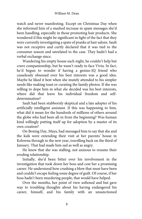watch and never manifesting. Except on Christmas Day when she informed him of a marked increase in spam messages she'd been handling, especially in those promoting hair products. She wondered if this might be significant in light of the fact that they were currently investigating a spate of pranks at hair salons. Sault was not receptive and curtly declared that it was tied to the consumer season and unrelated to the case. They hadn't had a verbal exchange since.

Wandering his empty house each night, he couldn't help but crave companionship, but he wasn't ready to face Vivia. In fact, he'd begun to wonder if having a genius-IQ friend who ceaselessly obsessed over his best interests was a good idea. Maybe he liked it best when she mutely attended to his simpler needs like making toast or curating the family photos. If she was willing to dope him in what *she* decided was his best interests, where did that leave his individual freedom and selfdetermination?

Sault had been stubbornly skeptical and a late adopter of his artificially intelligent assistant. If this was happening to him, what did it mean for the hundreds of millions of others around the globe who had been all-in from the beginning? Was human kind willingly putting itself up for adoption by a master of its own creation?

On Boxing Day, Maya, had messaged him to say that she and the kids were extending their visit at her parents' house in Kelowna through to the new year, travelling back on the third of January. That had made him sad as well as angry.

He knew that she was stalling, not anxious to resume their eroding relationship.

Initially, she'd been bitter over his involvement in the investigation that took down her boss and cost her a promising career. He understood how crushing a blow that must have been and couldn't escape feeling some degree of guilt. Of course, if her boss hadn't been murdering people, that would have helped.

Over the months, her point of view softened and but gave way to troubling thoughts about his having endangered his career, himself, and his family with an unsanctioned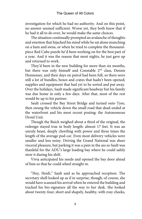investigation for which he had no authority. And on this point, no answer seemed sufficient. Worse yet, they both knew that if he had it all to do over, he would make the same choices.

The situation continually prompted an avalanche of thoughts and emotion that hijacked his mind while he sat alone munching on a ham and swiss, or when he tried to complete the thousandpiece Red Cube puzzle he'd been working on for the best part of a year. And it was the reason that most nights, he just gave up and returned to work.

They'd been in the new building for more than six months, but there was only himself and Constable 2<sup>nd</sup> class, Dennis Hennessey, and their days on patrol had been full, so there were still a lot of bundles, boxes and crates that hadn't been opened; supplies and equipment that had yet to be sorted and put away. Over the holidays, Sault made significant headway but his family was due home in only a few days. After that, most of the rest would be up to his partner.

Sault crossed the Bay Street Bridge and turned onto Tyee, then swung the vehicle down the small road that dead-ended at the waterfront and his most recent posting: the Autonomous Droid Unit.

Though the Buick weighed about a third of the original, the redesign stayed true in body length: almost 17 feet. It was an unruly beast, deeply chortling with power and three times the length of the average pod-car. Even most delivery vehicles were smaller and less noisy. Driving the Grand National was sheer visceral pleasure, but parking it was a pain in the ass so Sault was thankful for the ADU's large loading bay where he could safely stow it during his shift.

Vivia anticipated his needs and opened the bay door ahead of him so that he could wheel straight in.

"Hey, Heidi," Sault said as he approached reception. The secretary shell looked up as if in surprise, though, of course, she would have scanned his arrival when he entered the building and tracked his bio-signature all the way to her desk. She looked about twenty-four; short and shapely, healthy, with rosy cheeks,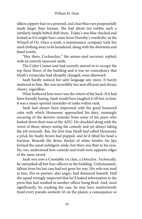silken coppery hair in a ponytail, and clear blue eyes purposefully made larger than human. She had about ten outfits; each a similarly simple belted shift dress. Today's was blue checked and looked as if it might have come from Dorothy's wardrobe, in the Wizard of Oz. Once a week, a maintenance company took her used clothing away to be laundered, along with the doormats and hand towels.

"Hey there, Cocksucker," the anime-eyed secretary replied, with an entirely innocent smile.

The Cyber Crimes unit had recently moved in to occupy the top three floors of the building and it was no coincidence that Heidi's vernacular had abruptly changed, soon afterward.

Sault hardly noticed her salty language any more. It barely mattered to him. She was incredibly fast and efficient and always cheery, regardless.

What bothered him more was the intent of the hack. If it had been friendly hazing, Sault would have laughed it off but, to him, it was a mean-spirited reminder of ranks within rank.

Sault had always been impressed with the good humored calm with which Hennessey approached his duty, seemingly uncaring of the derisive remarks from some of his peers who looked down their nose at the ADU. He chuckled along with the worst of them, always seeing the comedy and yet always taking the job seriously. But, the first time Heidi had called Hennessey a prick his bushy brows had popped, and he'd tilted his head a fraction. Beneath the dense thicket of white bristles his lips formed the usual indulgent smile, but there was flint in his eyes. He, too, understood how comedy and truth were opposite edges of the same sword.

Sault was now a Constable 1st class, a Detective. *Technically,* he outranked all but four officers in the building. Unfortunately, fallout from his last case had not gone his way. His wife was mad at him. His ex-partner, also angry, had distanced himself. Half the squad wrongly suspected that he'd leaked information to the press that had resulted in another officer being fired. And, most significantly, by cracking the case, he may have inadvertently freed every pseudo-sentient AI on the planet, a consequence so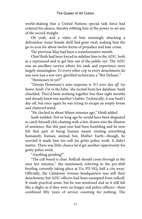world-shaking that a United Nations special task force had ordered his silence, thereby robbing him of the power to set any of the record straight.

Oh yeah, and a video of him seemingly attacking a defenseless Asian female shell had gone viral, making him the go-to icon for about twelve forms of prejudice and hate crime.

The previous May had been a transformative month.

Chief Roth had been forced to sideline him to the ADU, both as a reprimand and to get him out of the public eye. The ADU was an ancillary service where his rank and experience were largely meaningless. To every other cop in every detachment, he was now just a not-very-glorified technician; a "Bot Defuser."

"Hennessey in yet?"

"Dennis Hennessey's auto response is *'It's your day off. Go home, Sault. I'm in the John,'* she recited from her database. Sault chuckled. They'd been working together less than eight months and already knew one another's habits. Technically, it was Sault's day off, but once again he was trying to escape an empty house and cluttered mind.

"He clocked in about fifteen minutes ago," Heidi added.

Sault nodded. Not so long ago he would have been disgusted to catch himself chit-chatting with a bot; drawn into the illusion of sentience. But this past year had been humbling and he now felt that part of being human meant treating everything humanely; human, animal, bot, Mother Earth—though, he worried it made him too soft for gritty police work. It didn't matter. There was little chance he'd get another opportunity for gritty police work.

"Anything pending?"

"The call board is clear. Rollcall should come through in the next few minutes," she mentioned, referring to the pre-shift briefing currently taking place at Vic PD HQ, half a city away. Officially, the Caledonia Avenue headquarters was still their detachment, but ADU officers had been exempted from rollcall. It made practical sense, but he was sensitized and so it still felt like a slight; as if they were no longer real police officers—their combined fifty years of service counting for nothing. The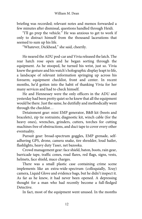briefing was recorded; relevant notes and memos forwarded a few minutes after dismissal, questions handled through Heidi.

"I'll go prep the vehicle." He was anxious to get to work if only to distract himself from the thousand lacerations that seemed to sum up his life.

"Whatever, Dickhead," she said, cheerily.

He neared the ADU pod-car and Vivia released the latch. The rear hatch rose open and he began sorting through the equipment. As he stooped, he turned his wrist, just so. Vivia knew the gesture and his watch's holographic display leapt to life, a landscape of relevant information springing up across his forearm; equipment checklist, front and center. In recent months, he'd gotten into the habit of thanking Vivia for her many services and had to check himself.

He and Hennessey were the only officers in the ADU and yesterday had been pretty quiet so he knew that all the equipment would be there. Just the same, he dutifully and methodically went through the checklist…

Detainment gear: mini EMP generator, B&B kit (boots and bracelets), zip tie restraints; diagnostic kit, winch cable (for the heavy ones), wrenches, grinders, cutters, torches for cutting machines free of obstructions, and duct tape to cover every other eventuality.

Pursuit gear: broad-spectrum goggles, EMP grenade, selfadhering GPS, drone, camera snake, tire shredder, loud hailer, flashlights, heavy duty Taser, net bazooka.

Crowd management gear: face shield, baton, boots, rain gear, barricade tape, traffic cones, road flares, red flags, signs, vests, helmets, face shield, mace charges.

There was a small plastic case containing crime scene implements like an extra-wide-spectrum (colloquially, Xray) camera, Liquid Glove and evidence bags, but he didn't inspect it. As far as he knew, it had never been opened. A depressing thought for a man who had recently become a full-fledged Detective.

In fact, most of the equipment went unused. In the months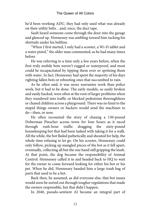he'd been working ADU, they had only used what was already on their utility belts…and, once, the duct tape.

Sault heard someone come through the door into the garage and glanced up. Hennessey was ambling toward him tucking his shirttails under his beltline.

"When I first started, I only had a scooter, a Wi-Fi tablet and a water pistol," the older man commented, as he had many times before.

He was referring to a time only a few years before, when the first truly mobile bots weren't rugged or waterproof, and most could be incapacitated by tipping them over or spritzing them with water. In fact, Hennessey had spent the majority of his days righting fallen bots or rebooting ones that succumbed to rain.

As he often said, it was more warrantee work than police work, but it had to be done. The early models, so easily broken and easily hacked, were often at the root of larger problems when they wandered into traffic or blocked pedestrian thoroughfares or chased children across a playground. There was no limit to the stupid things owners or hackers would send the machines to do—then, or now.

He often recounted the story of chasing a 130-pound Doberman Pinscher across town for four hours as it raced through rush-hour traffic dragging the sixty-pound housekeeping bot that had been tasked with taking it for a walk. All the while, the bot flailed pathetically and shouted for help, the whole time refusing to let go. On his scooter, Hennessey could only follow, picking up mangled pieces of the bot as it fell apart, eventually, collecting all but the one hand still gripping the leash. At that point, the dog became the responsibility of Animal Control. Hennessey called it in and headed back to HQ to wait for the owner to come forward looking for either his bot or his pet. When he did, Hennessey handed him a large trash bag of parts that used to be a bot.

Back then, he assumed, as did everyone else, that bot issues would soon be sorted out through tougher regulations that made the owners responsible, but that didn't happen.

In 2040, pseudo-sentient AI became an integral part of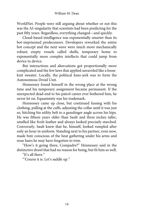WorldNet. People were still arguing about whether or not this was the AI-singularity that scientists had been predicting for the past fifty years. Regardless, everything changed—and quickly.

Cloud-based intelligence was exponentially smarter than its bot-imprisoned predecessors. Developers reworked the entire bot concept and the next wave were much more mechanically robust; empty vessels called shells, temporary home to exponentially more complex intellects that could jump from device to device.

But interactions and altercations got proportionally more complicated and the few laws that applied unraveled like a looseknit sweater. Locally, the political knee-jerk was to form the Autonomous Droid Unit.

Hennessey found himself in the wrong place at the wrong time and his temporary assignment became permanent. If the unexpected dead-end to his patrol career ever bothered him, he never let on. Equanimity was his trademark.

Hennessey came up close, but continued fussing with his clothing, pulling at the cuffs, adjusting the collar until it was just so, hitching his utility belt to a gunslinger angle across his hips. He was fifteen years older than Sault and three inches taller, smelled like fresh leather and always looked precisely starched. Conversely, Sault knew that he, himself, looked rumpled after only an hour in uniform. Standing next to his partner, even now, made him conscious of the heat gathering under his arms and nose hairs he may have forgotten to trim.

"How's it going there, Compadre?" Hennessey said in the distinctive drawl that had no reason for being, but fit him so well.

"It's all there."

"'Course it is. Let's saddle up."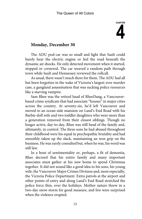# **CHAPTER 4**

### **Monday, December 30**

The ADU pod-car was so small and light that Sault could barely hear the electric engine or feel the road beneath the dynamic air shocks. He only detected movement when it started, stopped or cornered. The car weaved a random path through town while Sault and Hennessey reviewed the rollcall.

As usual, there wasn't much there for them. The ADU had all but been forgotten in the wake of Victoria's largest-ever murder case, a gangland assassination that was sucking police resources like a starving vampire.

Sam Rhee was the retired head of RheeDang, a Vancouverbased crime syndicate that had associate "houses" in major cities across the country. At seventy-six, he'd left Vancouver and moved to an ocean-side mansion on Land's End Road with his Barbie-doll wife and two toddler daughters who were more than a generation removed from their closest siblings. Though no longer active, day-to-day, Rhee was still head of the family and, ultimately, in control. The three sons he had abused throughout their childhood were his equal in psychopathic brutality and had smoothly taken up the slack, maintaining an iron grip on the business. He was rarely consulted but, when he was, his word was still law.

In a bout of sentimentality or, perhaps, a fit of dementia, Rhee decreed that his entire family and many important associates must gather at his new home to spend Christmas together. It did not sound like a good idea to his sons, his young wife, the Vancouver Major Crimes Division and, most especially, the Victoria Police Department. Extra patrols at the airport and other points of entry and along Land's End Road stretched the police force thin, over the holidays. Mother nature threw in a two-day snow storm for good measure, and few were surprised when the violence erupted.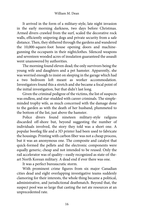It arrived in the form of a military-style, late night invasion in the early morning darkness, two days before Christmas. Armed divers crawled from the surf, scaled the decorative rock walls, efficiently snipering dogs and private security from a safe distance. Then, they slithered through the gardens and wandered the 10,000-square-foot house opening doors and machinegunning the occupants in their nightclothes. Silenced weapons and seventeen wooded acres of insulation guaranteed the assault went unanswered by authorities.

The morning found eleven dead; the only survivors being the young wife and daughters and a pet hamster. Apparently, she was worried enough to insist on sleeping in the garage which had a two bedroom loft meant as worker accommodation. Investigators found this a stretch and she became a focal point of the initial investigation, but that didn't last long.

Given the criminal pedigree of the victims, the list of suspects was endless, and star-studded with career criminals. The simpleminded trophy wife, as much concerned with the damage done to the garden as with the death of her husband, plummeted to the bottom of the list, just above the hamster.

Police divers found nineteen military-style railguns discarded off-shore but, beyond suggesting the number of individuals involved, the story they told was a short one. A popular bootleg file and a 3D printer had been used to fabricate the housings. Printing with carbon fiber was not a cheap process, but it was an anonymous one. The composite and catalyst that quick-formed the pellets and the electronic components were equally generic; cheap and not intended to be reused. Only the rail accelerator was of quality—easily recognized as state-of-theart North Korean military. A dead end if ever there was one.

It was a perfect bureaucratic storm.

With prominent crime figures from six major Canadian cities dead and eight overlapping investigative teams suddenly clamoring for their interests, the whole thing became a political, administrative, and jurisdictional deathmatch. Beyond that, the suspect pool was so large that casting the net ate resources at an unprecedented rate.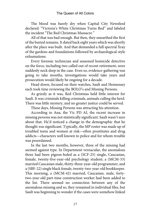The blood was barely dry when Capital City Newsfeed declared: "Victoria's White Christmas Turns Red" and labeled the incident "The Red Christmas Massacre."

All of that was bad enough. But then, they unearthed the first of the buried remains. It dated back eight years which was shortly after the place was built. And that demanded a full spectral Xray of the gardens and foundations followed by archaeological-style exhumations.

Every forensic technician and seasoned homicide detective on the force, including two called out of recent retirement, were suddenly neck deep in the case. Even so, evidence-gathering was going to take months, investigations would take years and prosecution would likely be ongoing for a decade.

Head down, focused on their watches, Sault and Hennessey each took time reviewing the BOLO's and Missing Persons.

As grizzly as it was, Red Christmas held little interest for Sault. It was criminals killing criminals, animals culling the herd. There was little mystery, and no greater justice could be served.

These days, Missing Persons was attracting his attention.

According to Ana, the Vic PD AI, the recent increase in missing persons was not statistically significant. Sault wasn't sure about that. He'd noticed a change in the demographic that he thought *was* significant. Typically, the MP roster was made up of troubled teens and women at risk—often prostitutes and drug addicts—characters well known to police and for whom trouble was preordained.

In the last two months, however, three of the missing had seemed against type. In Department vernacular, the anomalous three had been pigeon-holed as a (SCF-25) single, Caucasian, female, twenty-five-year-old psychology student; a (MCM-33) married Caucasian male, thirty-three-year-old programmer, and a (SBF-22) single black female, twenty-two-year-old bookkeeper. This morning, a (MCM-42) married, Caucasian, male, fortytwo-year-old part-time construction worker had been added to the list. There seemed no connection between any of the anomalous missing and so, they remained in individual files, but Sault was beginning to wonder if the cases were somehow linked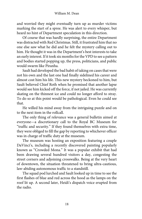#### William M. Dean

and worried they might eventually turn up as murder victims marking the start of a spree. He was alert to every whisper, but heard no hint of Department speculation in this direction.

Of course that was hardly surprising, the entire Department was distracted with Red Christmas. Still, it frustrated him that no one else saw what he did and he felt the mystery calling out to him. He thought it was in the Department's best interests to take an early interest. If it took six months for the VPD to see a pattern and bodies started popping up, the press, politicians, and public would swarm like Piranha.

Sault had developed the bad habit of taking on cases that were not his own and the last one had finally sidelined his career and almost cost him his life. This new mystery beckoned to him, but Sault believed Chief Roth when he promised that another lapse would see him kicked off the force, if not jailed. He was currently skating on the thinnest ice and could no longer afford to stray. To do so at this point would be pathological. Even he could see that.

He willed his mind away from the intriguing puzzle and on to the next item in the rollcall.

The only thing of relevance was a general bulletin aimed at everyone—a discretionary call to the Royal BC Museum for "traffic and security." If they found themselves with extra time, they were obliged to fill the gap by reporting to whichever officer was in charge of traffic duty at the museum.

The museum was hosting an exposition featuring a couple DaVinci's, including a recently discovered painting popularly known as "Crowded Mona." It was a popular exhibit that had been drawing several hundred visitors a day, congesting the street corners and adjoining crosswalks. Being at the very heart of downtown, the situation threatened to bring ultra-cautious, law-abiding autonomous traffic to a standstill.

The squad pod lurched and Sault looked up in time to see the first flashes of blue and red across the hood as the lamps on the roof lit up. A second later, Heidi's dispatch voice erupted from the radio.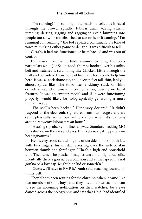"I'm running! I'm running!" the machine yelled as it raced through the crowd, spindly, tubular arms waving crazily; jumping, darting, zigging and zagging to avoid bumping into people too slow or too absorbed to see or hear it coming. "I'm running! I'm running!" the bot repeated continually, its tone of voice mimicking either panic or delight. It was difficult to tell.

Clearly, it had malfunctioned or been hacked and was out of control.

Hennessey used a portable scanner to ping the bot's particulars while Joe Sault stood, thumbs hooked over his utility belt and watched it scrambling like Chicken Little through the mall and considered how none of his many tools could help him here. It was a stock domestic, about seven feet tall, thin, lanky almost spider-like. The torso was a skinny stack of shiny cylinders, vaguely human in configuration, bearing no facial features. It was an emitter model and if it were functioning properly, would likely be holographically generating a more human façade.

"The shell's been hacked," Hennessey declared. "It didn't respond to the electronic signatures from our badges, and we can't physically recite our authorization when it's dancing around at twenty kilometers an hour."

"Hearing's probably off line, anyway. Standard hacking MO is to shut down the ears and eyes. It's likely navigating purely on heat signatures."

Hennessey stood scratching the underside of his smooth jaw with two fingers, his mustache resting over the web of skin between thumb and forefinger. "That's a high-end household unit. The frame'll be plastic or magnesium alloy—light but solid. Eventually there's gon'na be a collision and at that speed it's not gon'na be a love tap. Might hit a kid or someth'n."

"Guess we'll have to EMP it," Sault said, reaching toward his utility belt.

They'd both been waiting for the chirp, so, when it came, like two members of some boy band, they lifted their wrists in unison to see the incoming notification on their watches. Joe's eyes danced across the holographic and saw that Heidi had identified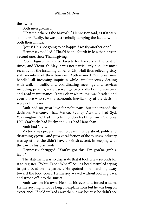the owner.

Both men groaned.

"That unit there's the Mayor's," Hennessey said, as if it were still news. Really, he was just verbally tamping the fact down in both their minds.

"Jesus! He's not going to be happy if we fry another one."

Hennessey nodded. "That'd be the fourth in less than a year. Second one, since Thanksgiving."

Public figures were ripe targets for hackers at the best of times, and Victoria's Mayor was not particularly popular; most recently for the installing an AI at City Hall thus relieving sixty staff members of their burdens. Aptly-named "Victoria" now handled all incoming inquiries while simultaneously dealing with walk-in traffic and coordinating meetings and services including permits, water, sewer, garbage collection, greenspace and road maintenance. It was clear where this was headed and even those who saw the economic inevitability of the decision were not in favor.

Sault had no great love for politicians, but understood the decision. Vancouver had Vanco, Sydney Australia had Syd, Washington DC had Lincoln, London had their own Victoria. Hell, Starbucks had Bucky and 7-11 had Hanachan.

Sault had Vivia.

Victoria was programmed to be infinitely patient, polite and disarmingly jovial, and yet a vocal faction of the tourism industry was upset that she didn't have a British accent, in keeping with the town's historic roots.

Hennessey shrugged. "You've got this. I'm gon'na grab a taco."

The statement was so disparate that it took a few seconds for it to register. "Wait. Taco? What?" Sault's head swiveled trying to get a bead on his partner. He spotted him marching away toward the food court. Hennessey waved without looking back and strode off into the sunset.

Sault was on his own. He shut his eyes and forced a calm. Hennessey might not be long on explanations but he was long on experience. If he'd walked away then it was because he didn't see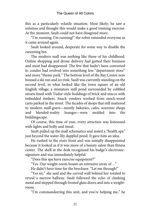this as a particularly volatile situation. Most likely, he saw a solution and thought this would make a good training exercise. At the moment, Sault could not have disagreed more.

"I'm running. I'm running!" the robot reminded everyone as it came around again.

Sault looked around, desperate for some way to disable the careening bot.

The modern mall was nothing like those of his childhood. Online shopping and drone delivery had gutted their business and most had disappeared. The few that hadn't been converted to condos had evolved into something less "department store" and more "theme park." The bottom level of the Bay Center now housed a ski run and ice rink. Sault was currently standing on the second level, in what looked like the town square of an old English village; a miniature mill pond surrounded by cobbled streets lined with Tudor-style buildings of brick and stucco with imbedded timbers. Snack vendors worked from mock-wood carts parked in the street. The facades of shops that still mattered to modern mall-goers—mostly bakeries, cafes, souvenir shops and blended-reality lounges—were molded into the buildingscape.

Of course, this time of year, every structure was festooned with lights and holly and tinsel.

Sault pulled up the mall schematics and noted a "health spa" just beyond the water-lily dappled pond. It gave him an idea.

He rushed to the store front and was initially disappointed because it looked as if it was more of a beauty salon than fitness center. The shell at the desk recognized his badge's electronicsignature and was immediately helpful.

"Does this spa have exercise equipment?"

"Yes. Our weight-room boasts an extensive array of…"

He didn't have time for the brochure. "Let me through!"

"Yes sir," she said and the curved wall behind her rotated to reveal a narrow hallway. Sault followed the echo of clanking metal and stepped through frosted glass doors and into a weightroom.

"I'm commandeering this unit, and you're helping me," he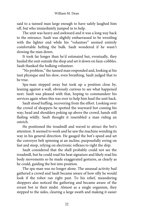said to a tanned man large enough to have safely laughed him off, but who immediately jumped in to help.

The unit was heavy and awkward and it was a long way back to the entrance. Sault was slightly embarrassed to be wrestling with the lighter end while his "volunteer" seemed entirely comfortable hefting the bulk. Sault wondered if he wasn't slowing the man down.

It took far longer than he'd estimated but, eventually, they hauled the unit outside the shop and set it down on faux-cobbles. Sault thanked the hulking volunteer.

"No problem," the tanned man responded and, looking at his taut physique and his slow, even breathing, Sault judged that to be true.

Spa-man stepped away but took up a position close by, leaning against a wall, obviously curious to see what happened next. Sault was pleased with that, hoping to commandeer his services again when this was over to help him haul the unit back.

Sault stood huffing, recovering from the effort. Looking over the crowd of shoppers he spotted the wayward bot coming his way; head and shoulders poking up above the crowd, hands still flailing wildly. Sault thought it resembled a man riding an ostrich.

He positioned the treadmill and waved to attract the bot's attention. It seemed to work and he saw the machine wending its way in his general direction. He gauged the bot's speed and set the conveyor belt spinning at an incline, purposefully erring on fast and steep, relying on electronic reflexes to right the ship.

Sault considered that the shell probably could not see the treadmill, but he could read his heat signature and likely read his body movements so he made exaggerated gestures, as clearly as he could, guiding the bot into position.

The spa-man was no longer alone. The unusual activity had gathered a crowd and Sault became aware of how silly he would look if the robot ran right past. To his relief, meandering shoppers also noticed the gathering and became aware of the errant bot in their midst. Almost as a single organism, they stepped to the sides, clearing a large swath and making it easier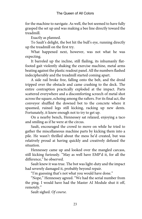for the machine to navigate. As well, the bot seemed to have fully grasped the set up and was making a bee line directly toward the treadmill.

Exactly as planned.

To Sault's delight, the bot hit the bull's eye, running directly up the treadmill on the first try.

What happened next, however, was not what he was expecting.

It barreled up the incline, still flailing, its inhumanly flatfooted gait violently shaking the exercise machine, metal arms beating against the plastic readout panel. All the numbers flashed indecipherably and the treadmill started coming apart.

A side rail broke free, falling onto the belt, and the droid tripped over the obstacle and came crashing to the deck. The entire contraption practically exploded at the impact. Parts scattered everywhere and a discomforting screech of metal shot across the square, echoing among the rafters. For its final act, the conveyor shuffled the downed bot to the concrete where it spasmed, ruined legs still kicking, racking up new dents. Fortunately, it knew enough not to try to get up.

On a nearby bench, Hennessey sat relaxed, enjoying a taco and smiling as if he were at the circus.

Sault, encouraged the crowd to move on while he tried to gather the miscellaneous machine parts by kicking them into a pile. He wasn't thrilled about the mess he'd created, but was relatively proud at having quickly and creatively defused the situation.

Hennessey came up and looked over the mangled carcass, still kicking furiously. "May as well have EMP'd it, for all the difference," he observed.

Sault knew it was true. The bot was light-duty and the impact had severely damaged it, probably beyond repair.

"I'm guessing that's not what you would have done."

"Nope," Hennessey agreed. "We had the serial number from the ping. I would have had the Master AI Module shut it off, remotely."

Sault sighed. *Of course.*